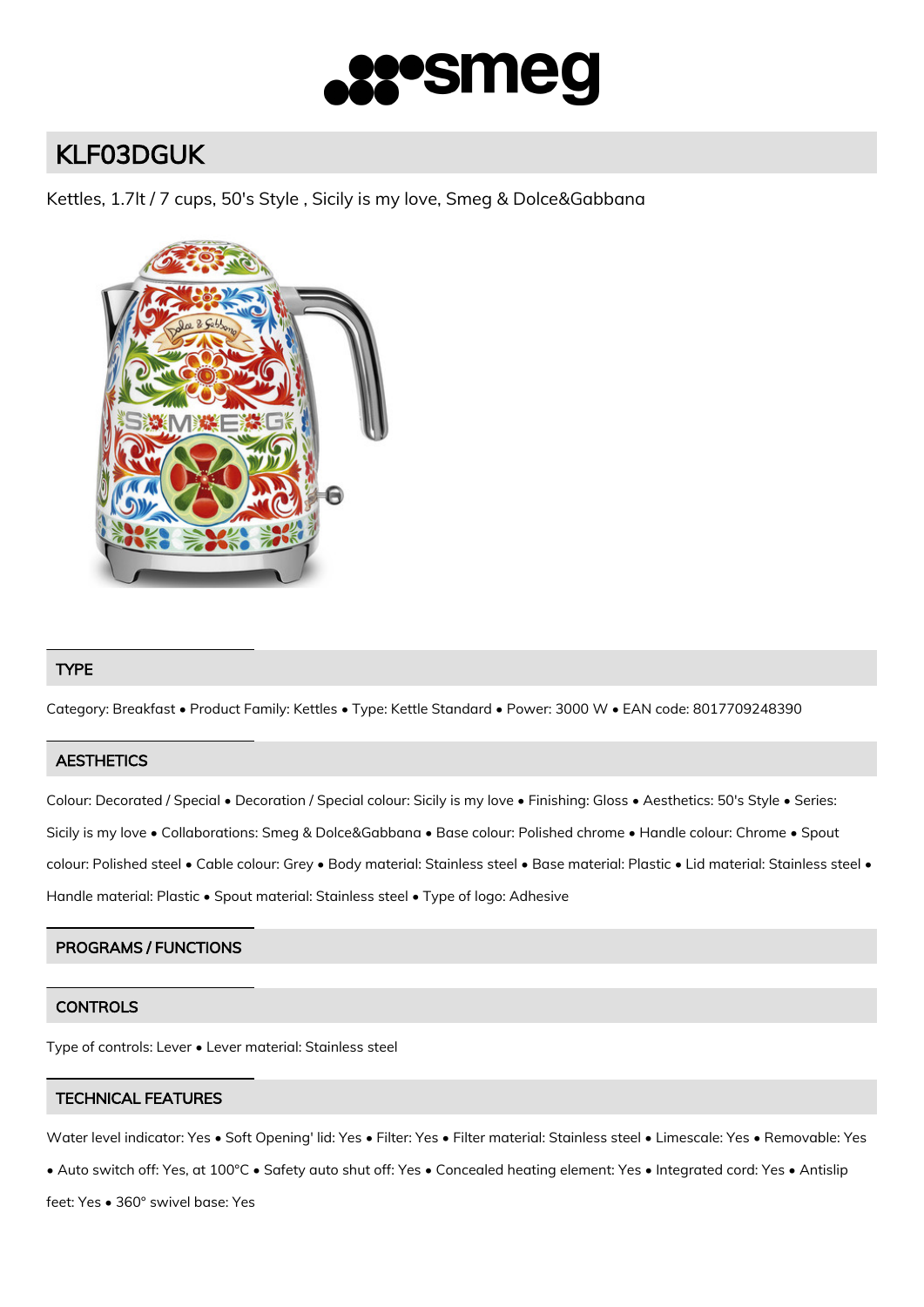

# KLF03DGUK

Kettles, 1.7lt / 7 cups, 50's Style , Sicily is my love, Smeg & Dolce&Gabbana



## TYPE

Category: Breakfast • Product Family: Kettles • Type: Kettle Standard • Power: 3000 W • EAN code: 8017709248390

## **AESTHETICS**

Colour: Decorated / Special • Decoration / Special colour: Sicily is my love • Finishing: Gloss • Aesthetics: 50's Style • Series: Sicily is my love • Collaborations: Smeg & Dolce&Gabbana • Base colour: Polished chrome • Handle colour: Chrome • Spout colour: Polished steel • Cable colour: Grey • Body material: Stainless steel • Base material: Plastic • Lid material: Stainless steel • Handle material: Plastic • Spout material: Stainless steel • Type of logo: Adhesive

## PROGRAMS / FUNCTIONS

## **CONTROLS**

Type of controls: Lever • Lever material: Stainless steel

# TECHNICAL FEATURES

Water level indicator: Yes • Soft Opening' lid: Yes • Filter: Yes • Filter material: Stainless steel • Limescale: Yes • Removable: Yes

• Auto switch off: Yes, at 100°C • Safety auto shut off: Yes • Concealed heating element: Yes • Integrated cord: Yes • Antislip

feet: Yes • 360° swivel base: Yes